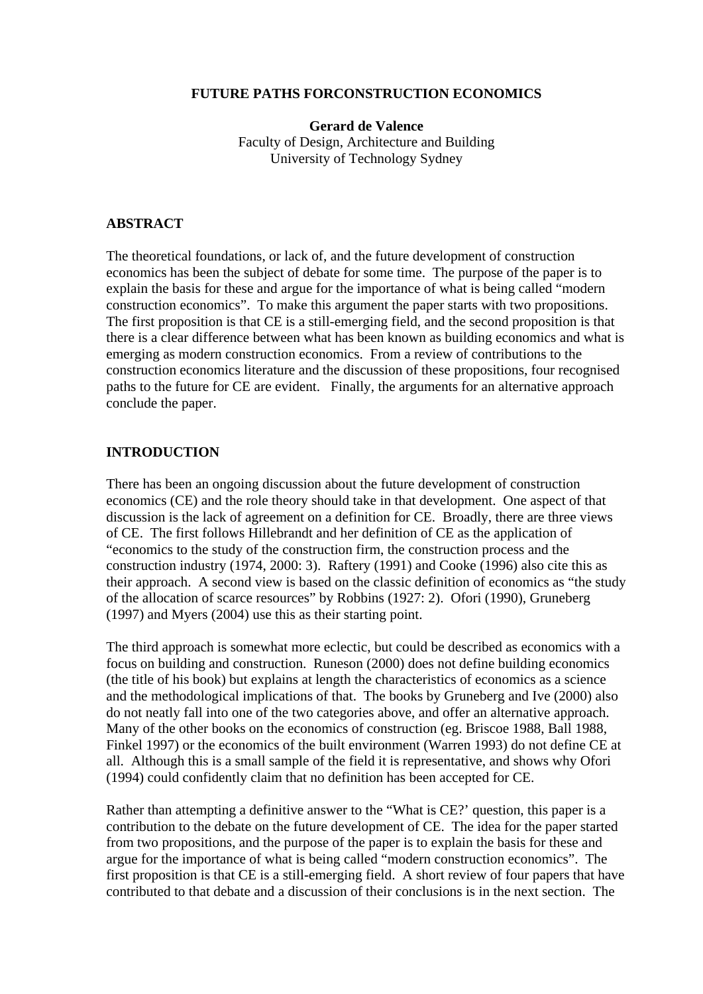### **FUTURE PATHS FORCONSTRUCTION ECONOMICS**

**Gerard de Valence**  Faculty of Design, Architecture and Building University of Technology Sydney

#### **ABSTRACT**

The theoretical foundations, or lack of, and the future development of construction economics has been the subject of debate for some time. The purpose of the paper is to explain the basis for these and argue for the importance of what is being called "modern construction economics". To make this argument the paper starts with two propositions. The first proposition is that CE is a still-emerging field, and the second proposition is that there is a clear difference between what has been known as building economics and what is emerging as modern construction economics. From a review of contributions to the construction economics literature and the discussion of these propositions, four recognised paths to the future for CE are evident. Finally, the arguments for an alternative approach conclude the paper.

## **INTRODUCTION**

There has been an ongoing discussion about the future development of construction economics (CE) and the role theory should take in that development. One aspect of that discussion is the lack of agreement on a definition for CE. Broadly, there are three views of CE. The first follows Hillebrandt and her definition of CE as the application of "economics to the study of the construction firm, the construction process and the construction industry (1974, 2000: 3). Raftery (1991) and Cooke (1996) also cite this as their approach. A second view is based on the classic definition of economics as "the study of the allocation of scarce resources" by Robbins (1927: 2). Ofori (1990), Gruneberg (1997) and Myers (2004) use this as their starting point.

The third approach is somewhat more eclectic, but could be described as economics with a focus on building and construction. Runeson (2000) does not define building economics (the title of his book) but explains at length the characteristics of economics as a science and the methodological implications of that. The books by Gruneberg and Ive (2000) also do not neatly fall into one of the two categories above, and offer an alternative approach. Many of the other books on the economics of construction (eg. Briscoe 1988, Ball 1988, Finkel 1997) or the economics of the built environment (Warren 1993) do not define CE at all. Although this is a small sample of the field it is representative, and shows why Ofori (1994) could confidently claim that no definition has been accepted for CE.

Rather than attempting a definitive answer to the "What is CE?' question, this paper is a contribution to the debate on the future development of CE. The idea for the paper started from two propositions, and the purpose of the paper is to explain the basis for these and argue for the importance of what is being called "modern construction economics". The first proposition is that CE is a still-emerging field. A short review of four papers that have contributed to that debate and a discussion of their conclusions is in the next section. The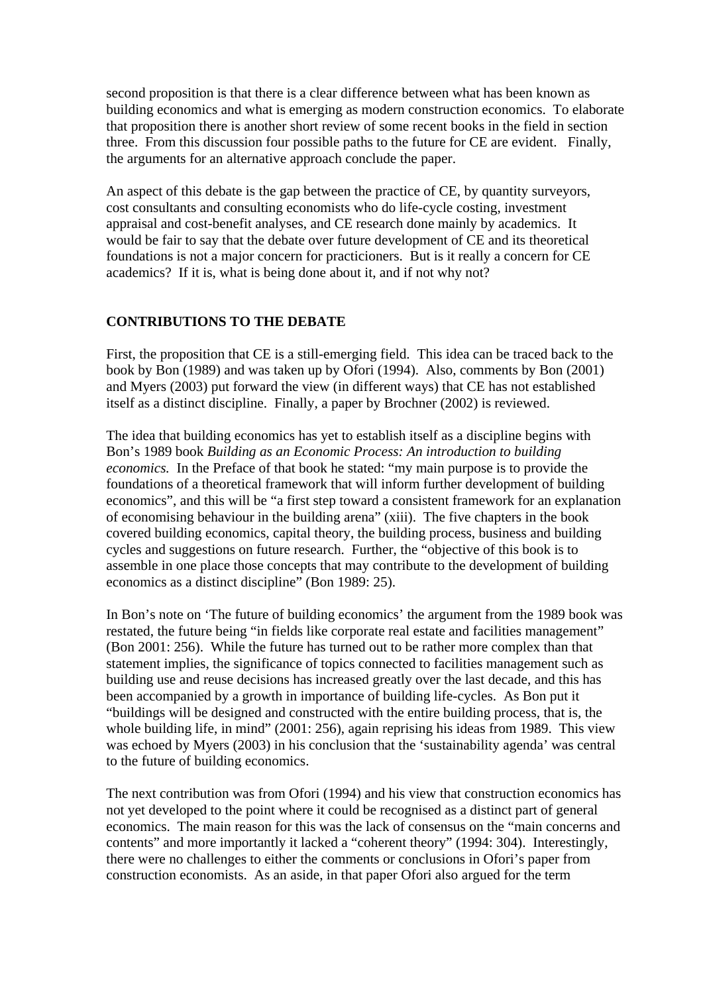second proposition is that there is a clear difference between what has been known as building economics and what is emerging as modern construction economics. To elaborate that proposition there is another short review of some recent books in the field in section three. From this discussion four possible paths to the future for CE are evident. Finally, the arguments for an alternative approach conclude the paper.

An aspect of this debate is the gap between the practice of CE, by quantity surveyors, cost consultants and consulting economists who do life-cycle costing, investment appraisal and cost-benefit analyses, and CE research done mainly by academics. It would be fair to say that the debate over future development of CE and its theoretical foundations is not a major concern for practicioners. But is it really a concern for CE academics? If it is, what is being done about it, and if not why not?

### **CONTRIBUTIONS TO THE DEBATE**

First, the proposition that CE is a still-emerging field. This idea can be traced back to the book by Bon (1989) and was taken up by Ofori (1994). Also, comments by Bon (2001) and Myers (2003) put forward the view (in different ways) that CE has not established itself as a distinct discipline. Finally, a paper by Brochner (2002) is reviewed.

The idea that building economics has yet to establish itself as a discipline begins with Bon's 1989 book *Building as an Economic Process: An introduction to building economics.* In the Preface of that book he stated: "my main purpose is to provide the foundations of a theoretical framework that will inform further development of building economics", and this will be "a first step toward a consistent framework for an explanation of economising behaviour in the building arena" (xiii). The five chapters in the book covered building economics, capital theory, the building process, business and building cycles and suggestions on future research. Further, the "objective of this book is to assemble in one place those concepts that may contribute to the development of building economics as a distinct discipline" (Bon 1989: 25).

In Bon's note on 'The future of building economics' the argument from the 1989 book was restated, the future being "in fields like corporate real estate and facilities management" (Bon 2001: 256). While the future has turned out to be rather more complex than that statement implies, the significance of topics connected to facilities management such as building use and reuse decisions has increased greatly over the last decade, and this has been accompanied by a growth in importance of building life-cycles. As Bon put it "buildings will be designed and constructed with the entire building process, that is, the whole building life, in mind" (2001: 256), again reprising his ideas from 1989. This view was echoed by Myers (2003) in his conclusion that the 'sustainability agenda' was central to the future of building economics.

The next contribution was from Ofori (1994) and his view that construction economics has not yet developed to the point where it could be recognised as a distinct part of general economics. The main reason for this was the lack of consensus on the "main concerns and contents" and more importantly it lacked a "coherent theory" (1994: 304). Interestingly, there were no challenges to either the comments or conclusions in Ofori's paper from construction economists. As an aside, in that paper Ofori also argued for the term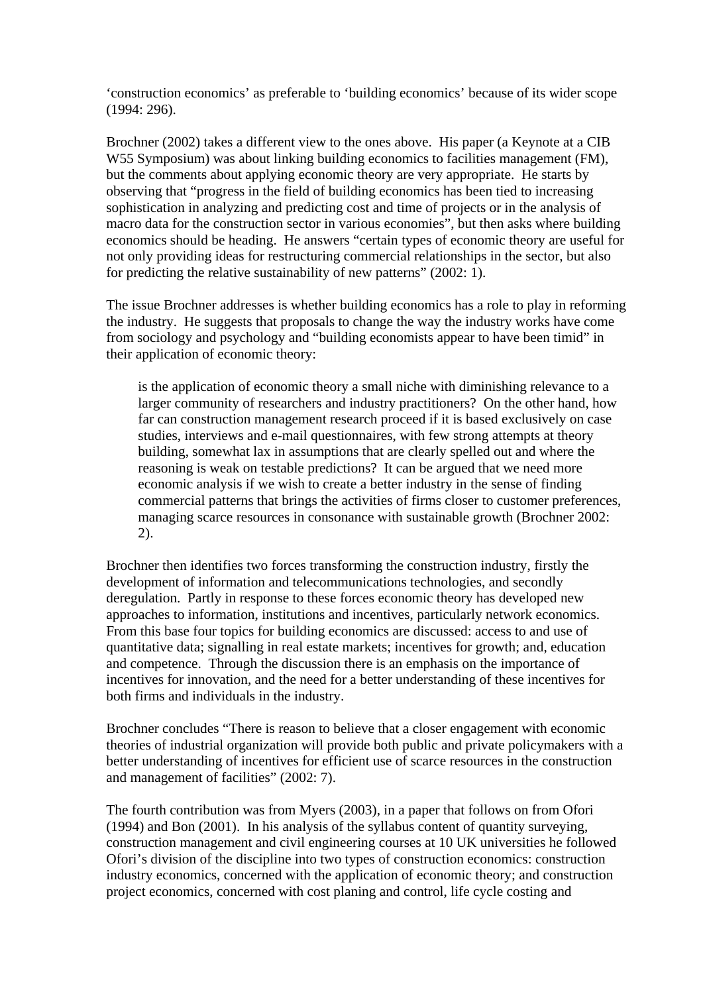'construction economics' as preferable to 'building economics' because of its wider scope (1994: 296).

Brochner (2002) takes a different view to the ones above. His paper (a Keynote at a CIB W55 Symposium) was about linking building economics to facilities management (FM), but the comments about applying economic theory are very appropriate. He starts by observing that "progress in the field of building economics has been tied to increasing sophistication in analyzing and predicting cost and time of projects or in the analysis of macro data for the construction sector in various economies", but then asks where building economics should be heading. He answers "certain types of economic theory are useful for not only providing ideas for restructuring commercial relationships in the sector, but also for predicting the relative sustainability of new patterns" (2002: 1).

The issue Brochner addresses is whether building economics has a role to play in reforming the industry. He suggests that proposals to change the way the industry works have come from sociology and psychology and "building economists appear to have been timid" in their application of economic theory:

is the application of economic theory a small niche with diminishing relevance to a larger community of researchers and industry practitioners? On the other hand, how far can construction management research proceed if it is based exclusively on case studies, interviews and e-mail questionnaires, with few strong attempts at theory building, somewhat lax in assumptions that are clearly spelled out and where the reasoning is weak on testable predictions? It can be argued that we need more economic analysis if we wish to create a better industry in the sense of finding commercial patterns that brings the activities of firms closer to customer preferences, managing scarce resources in consonance with sustainable growth (Brochner 2002: 2).

Brochner then identifies two forces transforming the construction industry, firstly the development of information and telecommunications technologies, and secondly deregulation. Partly in response to these forces economic theory has developed new approaches to information, institutions and incentives, particularly network economics. From this base four topics for building economics are discussed: access to and use of quantitative data; signalling in real estate markets; incentives for growth; and, education and competence. Through the discussion there is an emphasis on the importance of incentives for innovation, and the need for a better understanding of these incentives for both firms and individuals in the industry.

Brochner concludes "There is reason to believe that a closer engagement with economic theories of industrial organization will provide both public and private policymakers with a better understanding of incentives for efficient use of scarce resources in the construction and management of facilities" (2002: 7).

The fourth contribution was from Myers (2003), in a paper that follows on from Ofori (1994) and Bon (2001). In his analysis of the syllabus content of quantity surveying, construction management and civil engineering courses at 10 UK universities he followed Ofori's division of the discipline into two types of construction economics: construction industry economics, concerned with the application of economic theory; and construction project economics, concerned with cost planing and control, life cycle costing and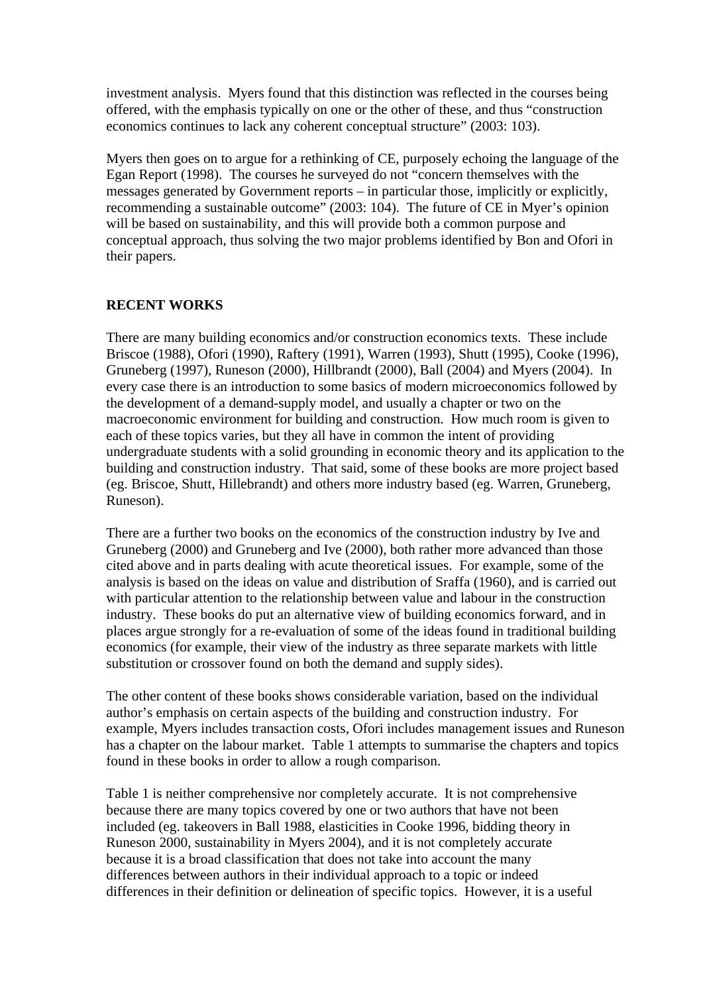investment analysis. Myers found that this distinction was reflected in the courses being offered, with the emphasis typically on one or the other of these, and thus "construction economics continues to lack any coherent conceptual structure" (2003: 103).

Myers then goes on to argue for a rethinking of CE, purposely echoing the language of the Egan Report (1998). The courses he surveyed do not "concern themselves with the messages generated by Government reports – in particular those, implicitly or explicitly, recommending a sustainable outcome" (2003: 104). The future of CE in Myer's opinion will be based on sustainability, and this will provide both a common purpose and conceptual approach, thus solving the two major problems identified by Bon and Ofori in their papers.

### **RECENT WORKS**

There are many building economics and/or construction economics texts. These include Briscoe (1988), Ofori (1990), Raftery (1991), Warren (1993), Shutt (1995), Cooke (1996), Gruneberg (1997), Runeson (2000), Hillbrandt (2000), Ball (2004) and Myers (2004). In every case there is an introduction to some basics of modern microeconomics followed by the development of a demand-supply model, and usually a chapter or two on the macroeconomic environment for building and construction. How much room is given to each of these topics varies, but they all have in common the intent of providing undergraduate students with a solid grounding in economic theory and its application to the building and construction industry. That said, some of these books are more project based (eg. Briscoe, Shutt, Hillebrandt) and others more industry based (eg. Warren, Gruneberg, Runeson).

There are a further two books on the economics of the construction industry by Ive and Gruneberg (2000) and Gruneberg and Ive (2000), both rather more advanced than those cited above and in parts dealing with acute theoretical issues. For example, some of the analysis is based on the ideas on value and distribution of Sraffa (1960), and is carried out with particular attention to the relationship between value and labour in the construction industry. These books do put an alternative view of building economics forward, and in places argue strongly for a re-evaluation of some of the ideas found in traditional building economics (for example, their view of the industry as three separate markets with little substitution or crossover found on both the demand and supply sides).

The other content of these books shows considerable variation, based on the individual author's emphasis on certain aspects of the building and construction industry. For example, Myers includes transaction costs, Ofori includes management issues and Runeson has a chapter on the labour market. Table 1 attempts to summarise the chapters and topics found in these books in order to allow a rough comparison.

Table 1 is neither comprehensive nor completely accurate. It is not comprehensive because there are many topics covered by one or two authors that have not been included (eg. takeovers in Ball 1988, elasticities in Cooke 1996, bidding theory in Runeson 2000, sustainability in Myers 2004), and it is not completely accurate because it is a broad classification that does not take into account the many differences between authors in their individual approach to a topic or indeed differences in their definition or delineation of specific topics. However, it is a useful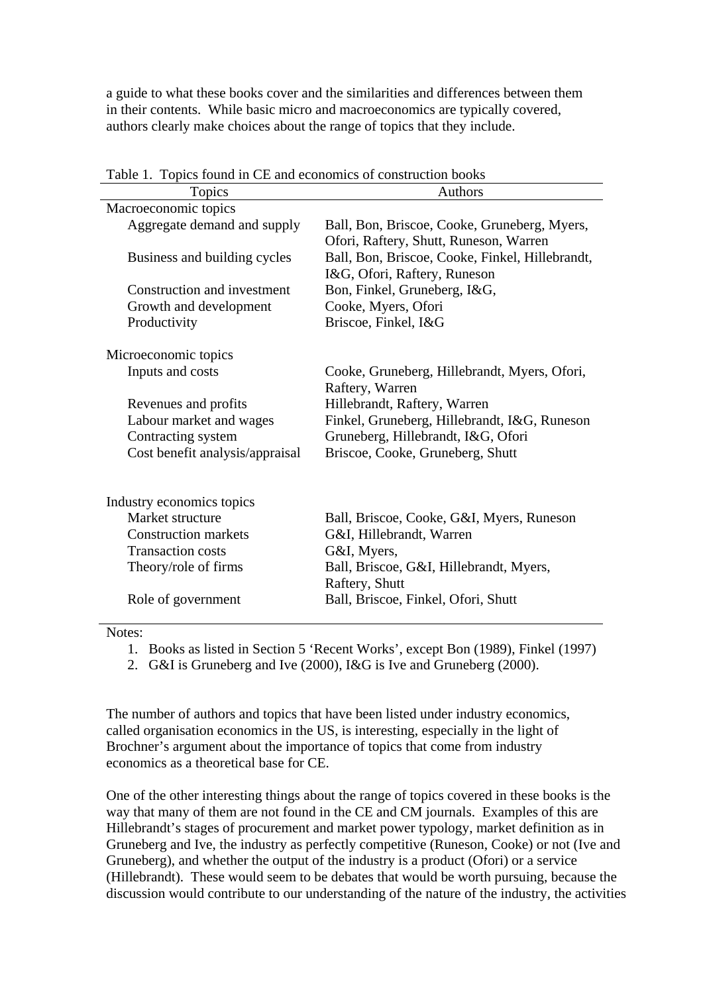a guide to what these books cover and the similarities and differences between them in their contents. While basic micro and macroeconomics are typically covered, authors clearly make choices about the range of topics that they include.

| radio 1. Topics found in the and combinies of construction books |                                                 |
|------------------------------------------------------------------|-------------------------------------------------|
| Topics                                                           | <b>Authors</b>                                  |
| Macroeconomic topics                                             |                                                 |
| Aggregate demand and supply                                      | Ball, Bon, Briscoe, Cooke, Gruneberg, Myers,    |
|                                                                  | Ofori, Raftery, Shutt, Runeson, Warren          |
| Business and building cycles                                     | Ball, Bon, Briscoe, Cooke, Finkel, Hillebrandt, |
|                                                                  | I&G, Ofori, Raftery, Runeson                    |
| Construction and investment                                      | Bon, Finkel, Gruneberg, I&G,                    |
| Growth and development                                           | Cooke, Myers, Ofori                             |
| Productivity                                                     | Briscoe, Finkel, I&G                            |
|                                                                  |                                                 |
| Microeconomic topics                                             |                                                 |
| Inputs and costs                                                 | Cooke, Gruneberg, Hillebrandt, Myers, Ofori,    |
|                                                                  |                                                 |
|                                                                  | Raftery, Warren                                 |
| Revenues and profits                                             | Hillebrandt, Raftery, Warren                    |
| Labour market and wages                                          | Finkel, Gruneberg, Hillebrandt, I&G, Runeson    |
| Contracting system                                               | Gruneberg, Hillebrandt, I&G, Ofori              |
| Cost benefit analysis/appraisal                                  | Briscoe, Cooke, Gruneberg, Shutt                |
|                                                                  |                                                 |
|                                                                  |                                                 |
| Industry economics topics                                        |                                                 |
| Market structure                                                 | Ball, Briscoe, Cooke, G&I, Myers, Runeson       |
| <b>Construction markets</b>                                      | G&I, Hillebrandt, Warren                        |
| <b>Transaction costs</b>                                         | G&I, Myers,                                     |
| Theory/role of firms                                             | Ball, Briscoe, G&I, Hillebrandt, Myers,         |
|                                                                  | Raftery, Shutt                                  |
| Role of government                                               | Ball, Briscoe, Finkel, Ofori, Shutt             |
|                                                                  |                                                 |

Table 1. Topics found in CE and economics of construction books

Notes:

- 1. Books as listed in Section 5 'Recent Works', except Bon (1989), Finkel (1997)
- 2. G&I is Gruneberg and Ive (2000), I&G is Ive and Gruneberg (2000).

The number of authors and topics that have been listed under industry economics, called organisation economics in the US, is interesting, especially in the light of Brochner's argument about the importance of topics that come from industry economics as a theoretical base for CE.

One of the other interesting things about the range of topics covered in these books is the way that many of them are not found in the CE and CM journals. Examples of this are Hillebrandt's stages of procurement and market power typology, market definition as in Gruneberg and Ive, the industry as perfectly competitive (Runeson, Cooke) or not (Ive and Gruneberg), and whether the output of the industry is a product (Ofori) or a service (Hillebrandt). These would seem to be debates that would be worth pursuing, because the discussion would contribute to our understanding of the nature of the industry, the activities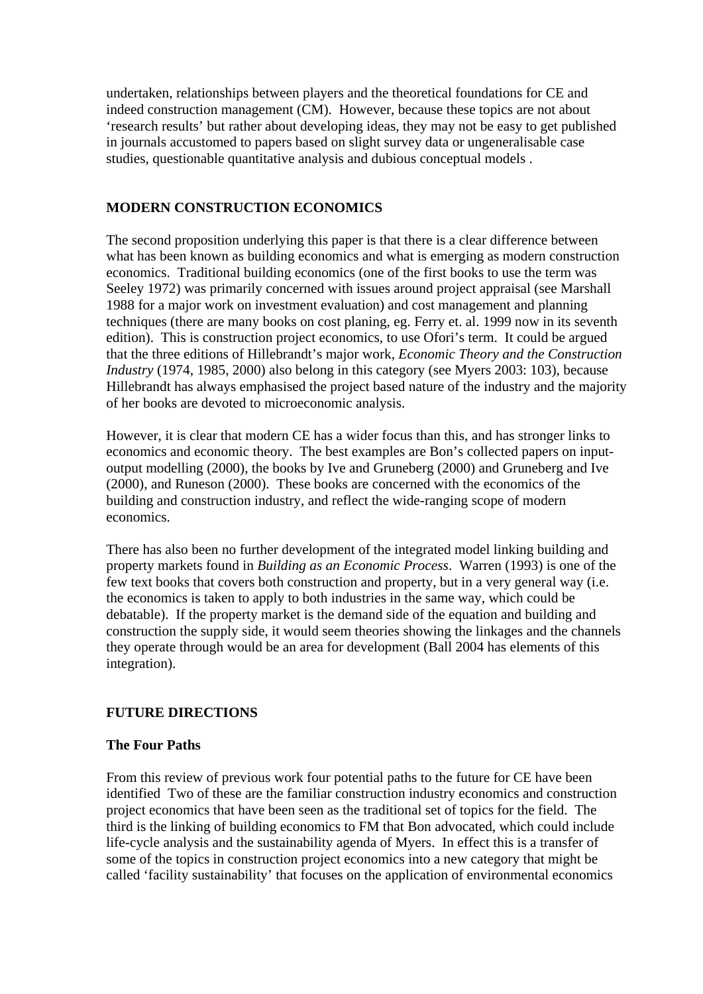undertaken, relationships between players and the theoretical foundations for CE and indeed construction management (CM). However, because these topics are not about 'research results' but rather about developing ideas, they may not be easy to get published in journals accustomed to papers based on slight survey data or ungeneralisable case studies, questionable quantitative analysis and dubious conceptual models .

# **MODERN CONSTRUCTION ECONOMICS**

The second proposition underlying this paper is that there is a clear difference between what has been known as building economics and what is emerging as modern construction economics. Traditional building economics (one of the first books to use the term was Seeley 1972) was primarily concerned with issues around project appraisal (see Marshall 1988 for a major work on investment evaluation) and cost management and planning techniques (there are many books on cost planing, eg. Ferry et. al. 1999 now in its seventh edition). This is construction project economics, to use Ofori's term. It could be argued that the three editions of Hillebrandt's major work, *Economic Theory and the Construction Industry* (1974, 1985, 2000) also belong in this category (see Myers 2003: 103), because Hillebrandt has always emphasised the project based nature of the industry and the majority of her books are devoted to microeconomic analysis.

However, it is clear that modern CE has a wider focus than this, and has stronger links to economics and economic theory. The best examples are Bon's collected papers on inputoutput modelling (2000), the books by Ive and Gruneberg (2000) and Gruneberg and Ive (2000), and Runeson (2000). These books are concerned with the economics of the building and construction industry, and reflect the wide-ranging scope of modern economics.

There has also been no further development of the integrated model linking building and property markets found in *Building as an Economic Process*. Warren (1993) is one of the few text books that covers both construction and property, but in a very general way (i.e. the economics is taken to apply to both industries in the same way, which could be debatable). If the property market is the demand side of the equation and building and construction the supply side, it would seem theories showing the linkages and the channels they operate through would be an area for development (Ball 2004 has elements of this integration).

# **FUTURE DIRECTIONS**

# **The Four Paths**

From this review of previous work four potential paths to the future for CE have been identified Two of these are the familiar construction industry economics and construction project economics that have been seen as the traditional set of topics for the field. The third is the linking of building economics to FM that Bon advocated, which could include life-cycle analysis and the sustainability agenda of Myers. In effect this is a transfer of some of the topics in construction project economics into a new category that might be called 'facility sustainability' that focuses on the application of environmental economics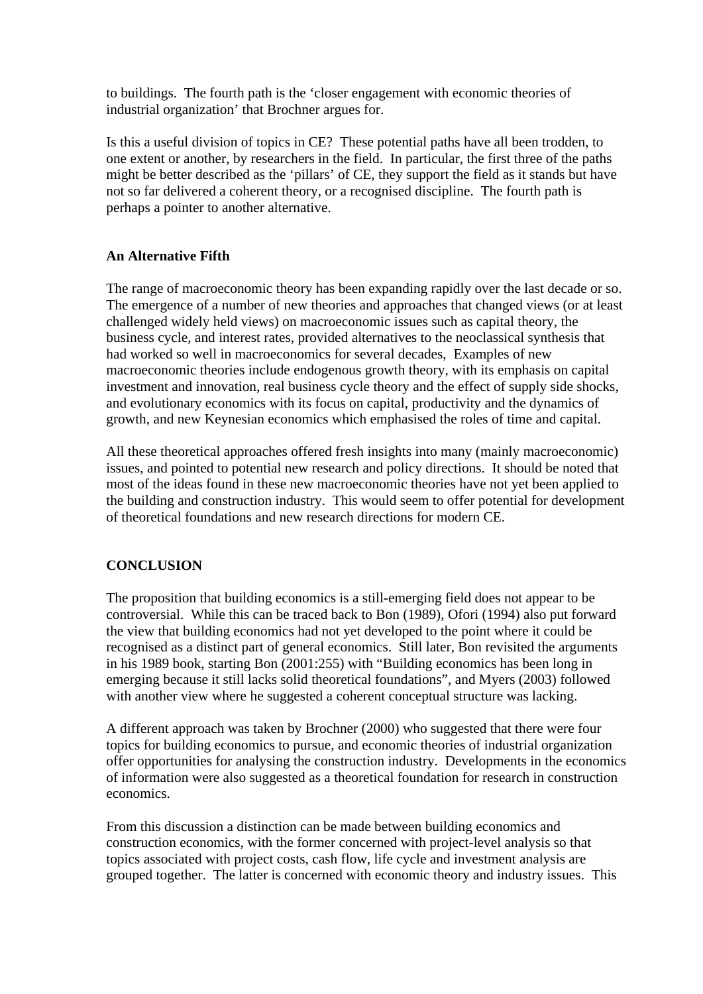to buildings. The fourth path is the 'closer engagement with economic theories of industrial organization' that Brochner argues for.

Is this a useful division of topics in CE? These potential paths have all been trodden, to one extent or another, by researchers in the field. In particular, the first three of the paths might be better described as the 'pillars' of CE, they support the field as it stands but have not so far delivered a coherent theory, or a recognised discipline. The fourth path is perhaps a pointer to another alternative.

# **An Alternative Fifth**

The range of macroeconomic theory has been expanding rapidly over the last decade or so. The emergence of a number of new theories and approaches that changed views (or at least challenged widely held views) on macroeconomic issues such as capital theory, the business cycle, and interest rates, provided alternatives to the neoclassical synthesis that had worked so well in macroeconomics for several decades, Examples of new macroeconomic theories include endogenous growth theory, with its emphasis on capital investment and innovation, real business cycle theory and the effect of supply side shocks, and evolutionary economics with its focus on capital, productivity and the dynamics of growth, and new Keynesian economics which emphasised the roles of time and capital.

All these theoretical approaches offered fresh insights into many (mainly macroeconomic) issues, and pointed to potential new research and policy directions. It should be noted that most of the ideas found in these new macroeconomic theories have not yet been applied to the building and construction industry. This would seem to offer potential for development of theoretical foundations and new research directions for modern CE.

### **CONCLUSION**

The proposition that building economics is a still-emerging field does not appear to be controversial. While this can be traced back to Bon (1989), Ofori (1994) also put forward the view that building economics had not yet developed to the point where it could be recognised as a distinct part of general economics. Still later, Bon revisited the arguments in his 1989 book, starting Bon (2001:255) with "Building economics has been long in emerging because it still lacks solid theoretical foundations", and Myers (2003) followed with another view where he suggested a coherent conceptual structure was lacking.

A different approach was taken by Brochner (2000) who suggested that there were four topics for building economics to pursue, and economic theories of industrial organization offer opportunities for analysing the construction industry. Developments in the economics of information were also suggested as a theoretical foundation for research in construction economics.

From this discussion a distinction can be made between building economics and construction economics, with the former concerned with project-level analysis so that topics associated with project costs, cash flow, life cycle and investment analysis are grouped together. The latter is concerned with economic theory and industry issues. This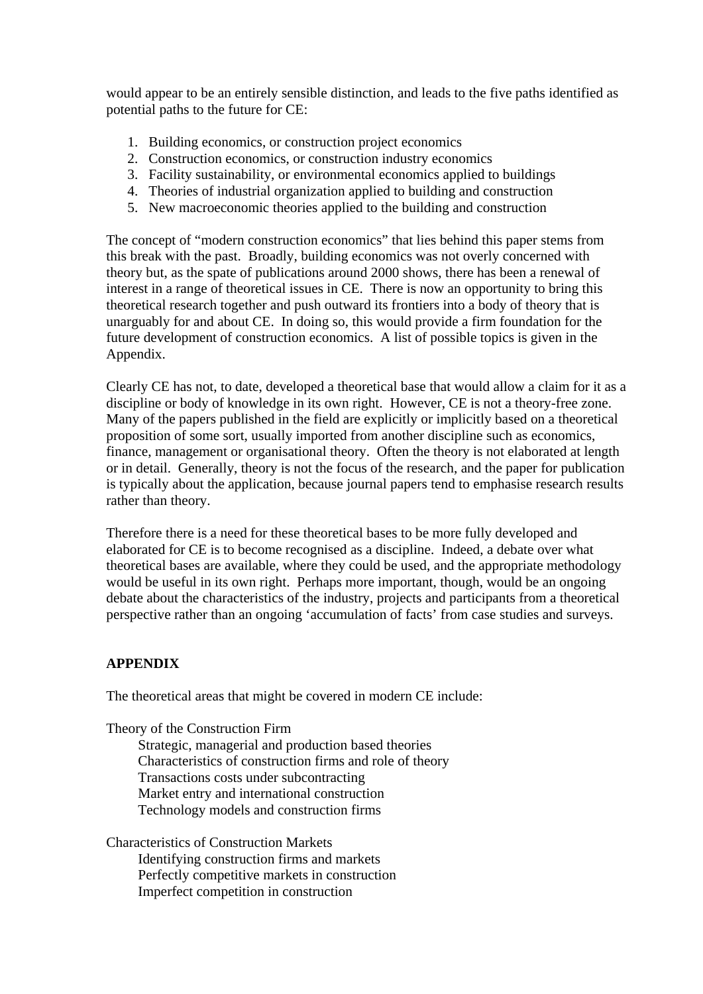would appear to be an entirely sensible distinction, and leads to the five paths identified as potential paths to the future for CE:

- 1. Building economics, or construction project economics
- 2. Construction economics, or construction industry economics
- 3. Facility sustainability, or environmental economics applied to buildings
- 4. Theories of industrial organization applied to building and construction
- 5. New macroeconomic theories applied to the building and construction

The concept of "modern construction economics" that lies behind this paper stems from this break with the past. Broadly, building economics was not overly concerned with theory but, as the spate of publications around 2000 shows, there has been a renewal of interest in a range of theoretical issues in CE. There is now an opportunity to bring this theoretical research together and push outward its frontiers into a body of theory that is unarguably for and about CE. In doing so, this would provide a firm foundation for the future development of construction economics. A list of possible topics is given in the Appendix.

Clearly CE has not, to date, developed a theoretical base that would allow a claim for it as a discipline or body of knowledge in its own right. However, CE is not a theory-free zone. Many of the papers published in the field are explicitly or implicitly based on a theoretical proposition of some sort, usually imported from another discipline such as economics, finance, management or organisational theory. Often the theory is not elaborated at length or in detail. Generally, theory is not the focus of the research, and the paper for publication is typically about the application, because journal papers tend to emphasise research results rather than theory.

Therefore there is a need for these theoretical bases to be more fully developed and elaborated for CE is to become recognised as a discipline. Indeed, a debate over what theoretical bases are available, where they could be used, and the appropriate methodology would be useful in its own right. Perhaps more important, though, would be an ongoing debate about the characteristics of the industry, projects and participants from a theoretical perspective rather than an ongoing 'accumulation of facts' from case studies and surveys.

# **APPENDIX**

The theoretical areas that might be covered in modern CE include:

Theory of the Construction Firm

Strategic, managerial and production based theories Characteristics of construction firms and role of theory Transactions costs under subcontracting Market entry and international construction Technology models and construction firms

Characteristics of Construction Markets Identifying construction firms and markets Perfectly competitive markets in construction Imperfect competition in construction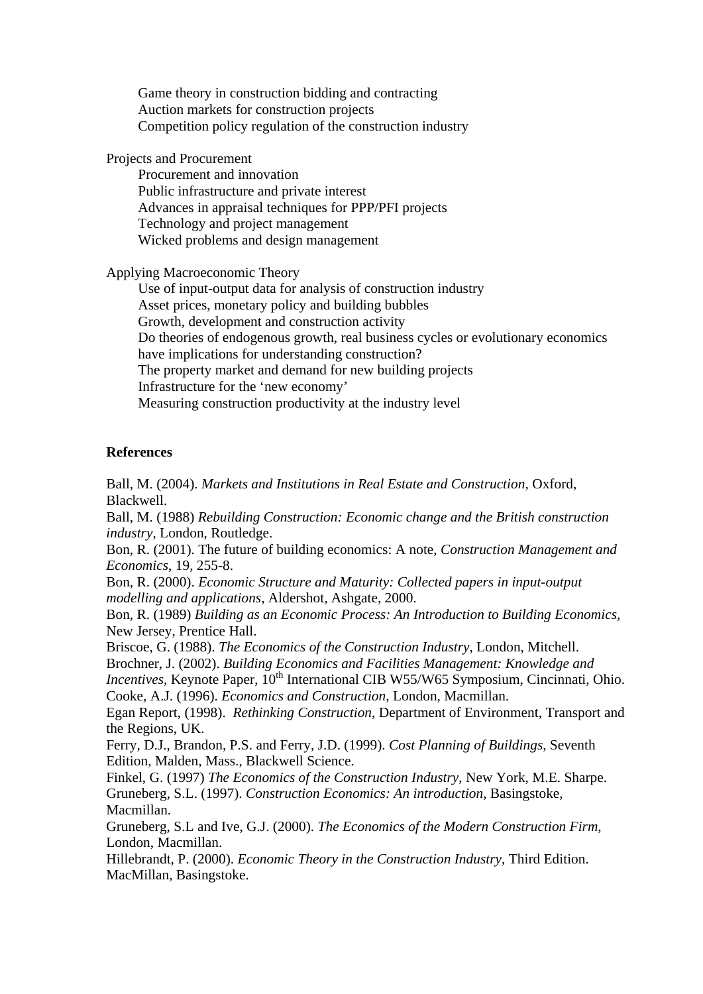Game theory in construction bidding and contracting Auction markets for construction projects Competition policy regulation of the construction industry

Projects and Procurement

Procurement and innovation Public infrastructure and private interest Advances in appraisal techniques for PPP/PFI projects Technology and project management Wicked problems and design management

Applying Macroeconomic Theory

Use of input-output data for analysis of construction industry Asset prices, monetary policy and building bubbles Growth, development and construction activity Do theories of endogenous growth, real business cycles or evolutionary economics have implications for understanding construction? The property market and demand for new building projects Infrastructure for the 'new economy' Measuring construction productivity at the industry level

### **References**

Ball, M. (2004). *Markets and Institutions in Real Estate and Construction*, Oxford, Blackwell.

Ball, M. (1988) *Rebuilding Construction: Economic change and the British construction industry*, London, Routledge.

Bon, R. (2001). The future of building economics: A note, *Construction Management and Economics*, 19, 255-8.

Bon, R. (2000). *Economic Structure and Maturity: Collected papers in input-output modelling and applications*, Aldershot, Ashgate, 2000.

Bon, R. (1989) *Building as an Economic Process: An Introduction to Building Economics*, New Jersey, Prentice Hall.

Briscoe, G. (1988). *The Economics of the Construction Industry*, London, Mitchell.

Brochner, J. (2002). *Building Economics and Facilities Management: Knowledge and* 

*Incentives*, Keynote Paper, 10<sup>th</sup> International CIB W55/W65 Symposium, Cincinnati, Ohio. Cooke, A.J. (1996). *Economics and Construction*, London, Macmillan.

Egan Report, (1998). *Rethinking Construction*, Department of Environment, Transport and the Regions, UK.

Ferry, D.J., Brandon, P.S. and Ferry, J.D. (1999). *Cost Planning of Buildings*, Seventh Edition, Malden, Mass., Blackwell Science.

Finkel, G. (1997) *The Economics of the Construction Industry*, New York, M.E. Sharpe. Gruneberg, S.L. (1997). *Construction Economics: An introduction*, Basingstoke, Macmillan.

Gruneberg, S.L and Ive, G.J. (2000). *The Economics of the Modern Construction Firm*, London, Macmillan.

Hillebrandt, P. (2000). *Economic Theory in the Construction Industry*, Third Edition. MacMillan, Basingstoke.